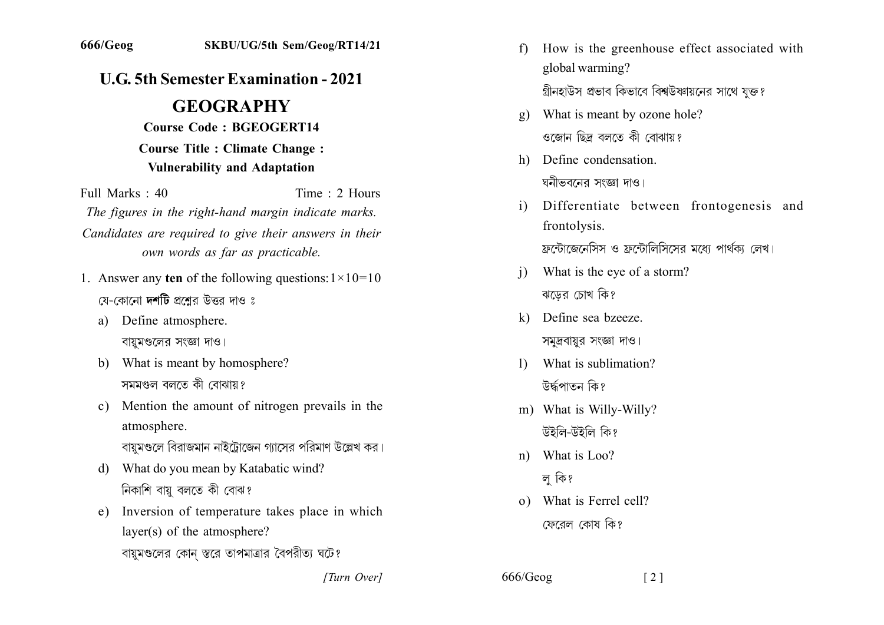## **U.G. 5th Semester Examination - 2021**

## **GEOGRAPHY**

**Course Code: BGEOGERT14 Course Title : Climate Change : Vulnerability and Adaptation** 

Full Marks  $\cdot$  40 Time  $\cdot$  2 Hours The figures in the right-hand margin indicate marks. Candidates are required to give their answers in their own words as far as practicable.

- 1. Answer any ten of the following questions:  $1 \times 10 = 10$ য়ে-কোনো **দশটি** প্রশ্রের উত্তর দাও ঃ
	- a) Define atmosphere. বায়ুমণ্ডলের সংজ্ঞা দাও।
	- b) What is meant by homosphere? সমমণ্ডল বলতে কী বোঝায়?
	- c) Mention the amount of nitrogen prevails in the atmosphere. বায়মণ্ডলে বিরাজমান নাইট্রোজেন গ্যাসের পরিমাণ উল্লেখ কর।
	- d) What do you mean by Katabatic wind? নিকাশি বায়ু বলতে কী বোঝ?
	- Inversion of temperature takes place in which  $e)$  $laver(s)$  of the atmosphere?

বায়মণ্ডলের কোন স্তরে তাপমাত্রার বৈপরীত্য ঘটে?

[Turn Over]

- How is the greenhouse effect associated with  $f$ global warming? গ্রীনহাউস প্রভাব কিভাবে বিশ্বউষ্ণায়নের সাথে যুক্ত?
- What is meant by ozone hole?  $\mathbf{g}$ ) ওজোন ছিদ্ৰ বলতে কী বোঝায়?
- h) Define condensation ঘনীভবনের সংজ্ঞা দাও।
- Differentiate between frontogenesis and  $\mathbf{i}$ frontolysis.

ফ্রন্টোজেনেসিস ও ফ্রন্টোলিসিসের মধ্যে পার্থকা লেখ।

- What is the eye of a storm?  $\mathbf{i}$ ঝডের চোখ কি?
- k) Define sea bzeeze. সমুদ্রবায়ুর সংজ্ঞা দাও।
- What is sublimation?  $\mathbf{D}$ উৰ্দ্ধপাতন কি?
- m) What is Willy-Willy? উইলি-উইলি কি?
- What is Loo?  $n)$ 
	- ল কি?
- o) What is Ferrel cell? ফেরেল কোষ কি?

 $666/Geog$  $\lceil 2 \rceil$